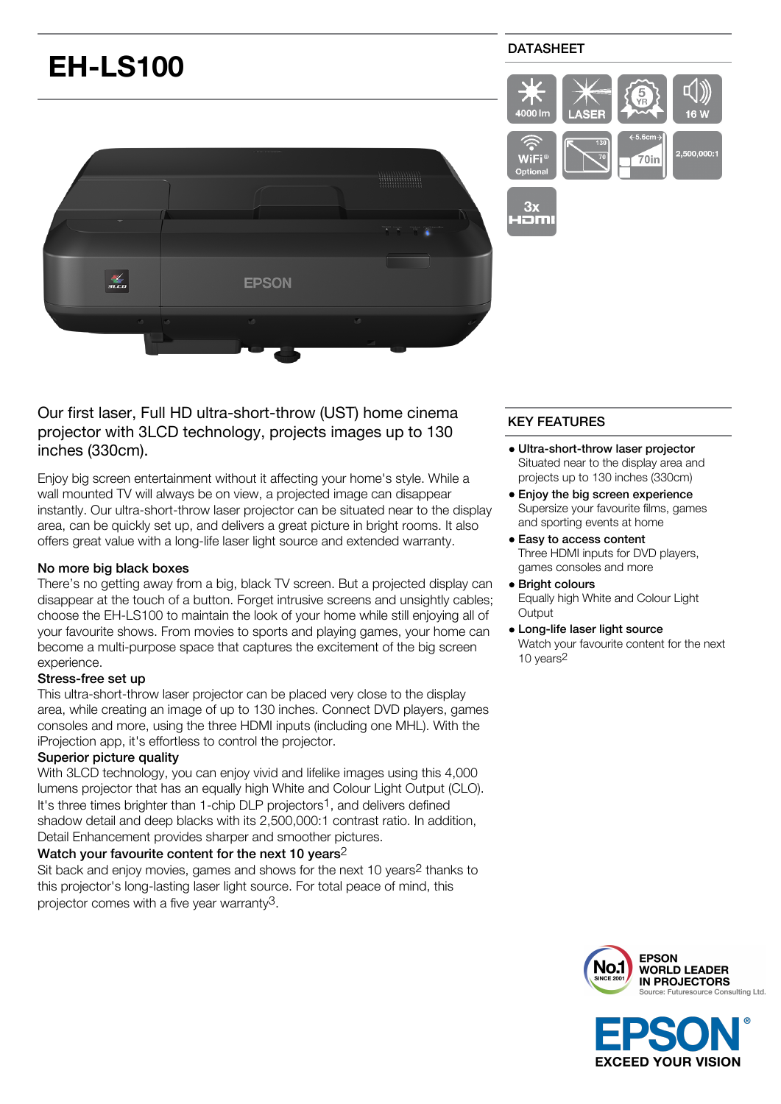

Our first laser, Full HD ultra-short-throw (UST) home cinema projector with 3LCD technology, projects images up to 130 inches (330cm).

Enjoy big screen entertainment without it affecting your home's style. While a wall mounted TV will always be on view, a projected image can disappear instantly. Our ultra-short-throw laser projector can be situated near to the display area, can be quickly set up, and delivers a great picture in bright rooms. It also offers great value with a long-life laser light source and extended warranty.

# No more big black boxes

There's no getting away from a big, black TV screen. But a projected display can disappear at the touch of a button. Forget intrusive screens and unsightly cables; choose the EH-LS100 to maintain the look of your home while still enjoying all of your favourite shows. From movies to sports and playing games, your home can become a multi-purpose space that captures the excitement of the big screen experience.

# Stress-free set up

This ultra-short-throw laser projector can be placed very close to the display area, while creating an image of up to 130 inches. Connect DVD players, games consoles and more, using the three HDMI inputs (including one MHL). With the iProjection app, it's effortless to control the projector.

# Superior picture quality

With 3LCD technology, you can enjoy vivid and lifelike images using this 4,000 lumens projector that has an equally high White and Colour Light Output (CLO). It's three times brighter than 1-chip DLP projectors<sup>1</sup>, and delivers defined shadow detail and deep blacks with its 2,500,000:1 contrast ratio. In addition, Detail Enhancement provides sharper and smoother pictures.

# Watch your favourite content for the next 10 years<sup>2</sup>

Sit back and enjoy movies, games and shows for the next 10 years2 thanks to this projector's long-lasting laser light source. For total peace of mind, this projector comes with a five year warranty3.

# KEY FEATURES

- Ultra-short-throw laser projector Situated near to the display area and projects up to 130 inches (330cm)
- Enjoy the big screen experience Supersize your favourite films, games and sporting events at home
- **Easy to access content** Three HDMI inputs for DVD players, games consoles and more
- Bright colours Equally high White and Colour Light **Output**
- Long-life laser light source Watch your favourite content for the next 10 years2



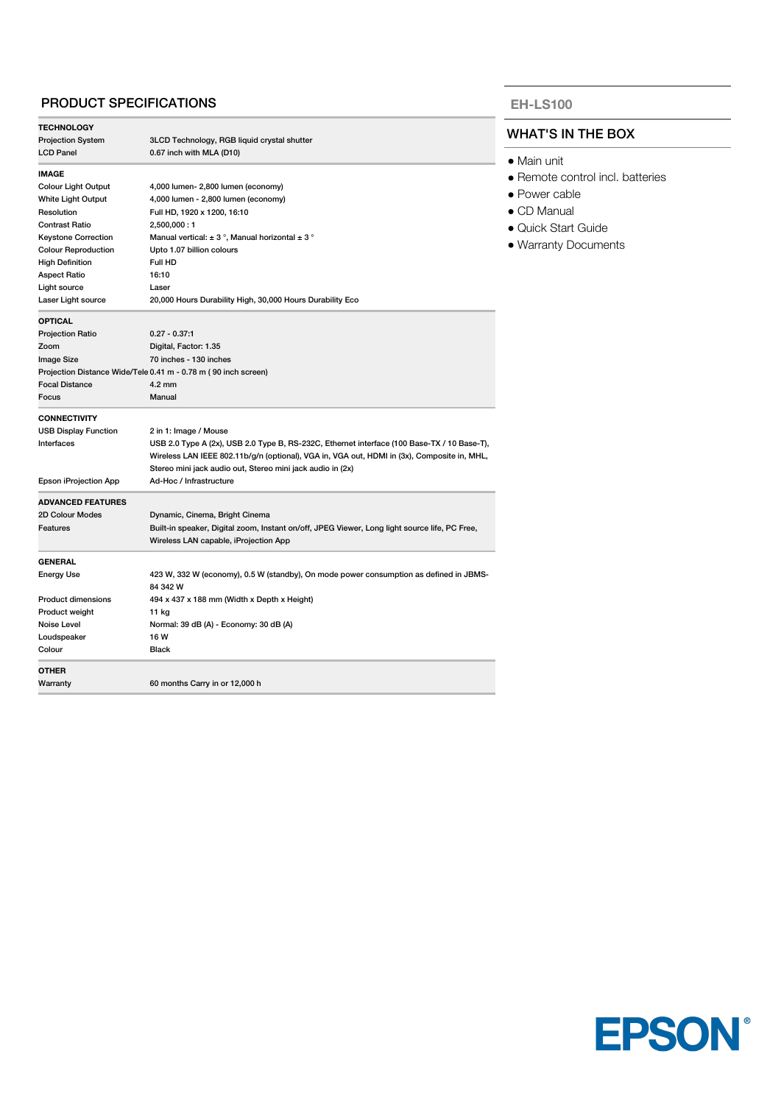# PRODUCT SPECIFICATIONS

| <b>TECHNOLOGY</b>           |                                                                                               |  |
|-----------------------------|-----------------------------------------------------------------------------------------------|--|
| <b>Projection System</b>    | 3LCD Technology, RGB liquid crystal shutter                                                   |  |
| <b>LCD Panel</b>            | 0.67 inch with MLA (D10)                                                                      |  |
| <b>IMAGE</b>                |                                                                                               |  |
| <b>Colour Light Output</b>  | 4,000 lumen- 2,800 lumen (economy)                                                            |  |
| White Light Output          | 4,000 lumen - 2,800 lumen (economy)                                                           |  |
| Resolution                  | Full HD, 1920 x 1200, 16:10                                                                   |  |
| <b>Contrast Ratio</b>       | 2,500,000:1                                                                                   |  |
| <b>Keystone Correction</b>  | Manual vertical: $\pm$ 3°, Manual horizontal $\pm$ 3°                                         |  |
| <b>Colour Reproduction</b>  | Upto 1.07 billion colours                                                                     |  |
| <b>High Definition</b>      | Full HD                                                                                       |  |
| <b>Aspect Ratio</b>         | 16:10                                                                                         |  |
| Light source                | Laser                                                                                         |  |
| Laser Light source          | 20,000 Hours Durability High, 30,000 Hours Durability Eco                                     |  |
| <b>OPTICAL</b>              |                                                                                               |  |
| <b>Projection Ratio</b>     | $0.27 - 0.37:1$                                                                               |  |
| Zoom                        | Digital, Factor: 1.35                                                                         |  |
| Image Size                  | 70 inches - 130 inches                                                                        |  |
|                             | Projection Distance Wide/Tele 0.41 m - 0.78 m (90 inch screen)                                |  |
| <b>Focal Distance</b>       | $4.2 \text{ mm}$                                                                              |  |
| Focus                       | Manual                                                                                        |  |
| <b>CONNECTIVITY</b>         |                                                                                               |  |
| <b>USB Display Function</b> | 2 in 1: Image / Mouse                                                                         |  |
| Interfaces                  | USB 2.0 Type A (2x), USB 2.0 Type B, RS-232C, Ethernet interface (100 Base-TX / 10 Base-T),   |  |
|                             | Wireless LAN IEEE 802.11b/g/n (optional), VGA in, VGA out, HDMI in (3x), Composite in, MHL,   |  |
|                             | Stereo mini jack audio out, Stereo mini jack audio in (2x)                                    |  |
| Epson iProjection App       | Ad-Hoc / Infrastructure                                                                       |  |
| <b>ADVANCED FEATURES</b>    |                                                                                               |  |
| 2D Colour Modes             | Dynamic, Cinema, Bright Cinema                                                                |  |
| Features                    | Built-in speaker, Digital zoom, Instant on/off, JPEG Viewer, Long light source life, PC Free, |  |
|                             | Wireless LAN capable, iProjection App                                                         |  |
| <b>GENERAL</b>              |                                                                                               |  |
| <b>Energy Use</b>           | 423 W, 332 W (economy), 0.5 W (standby), On mode power consumption as defined in JBMS-        |  |
|                             | 84 342 W                                                                                      |  |
| <b>Product dimensions</b>   | 494 x 437 x 188 mm (Width x Depth x Height)                                                   |  |
| Product weight              | 11 kg                                                                                         |  |
| Noise Level                 | Normal: 39 dB (A) - Economy: 30 dB (A)                                                        |  |
| Loudspeaker                 | 16 W                                                                                          |  |
| Colour                      | Black                                                                                         |  |
| <b>OTHER</b>                |                                                                                               |  |
| Warranty                    | 60 months Carry in or 12,000 h                                                                |  |
|                             |                                                                                               |  |

#### **EH-LS100**

# WHAT'S IN THE BOX

- Main unit
- Remote control incl. batteries
- Power cable
- CD Manual
- Quick Start Guide
- Warranty Documents